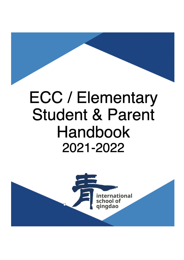# **ECC / Elementary Student & Parent** Handbook 2021-2022

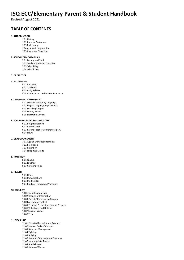# **ISQ ECC/Elementary Parent & Student Handbook**

Revised August 2021

# **TABLE OF CONTENTS**

#### **1. INTRODUCTION**

- 1.01 History
- 1.02 Purpose Statement 1.03 Philosophy
- 
- 1.04 Academic Information 1.05 Character Education
- 

#### **2. SCHOOL DEMOGRAPHICS**

- 2.01 Faculty and Staff
- 2.02 Student Body and Class Size
- 2.03 School Day 2.04 School Year

#### **3. DRESS CODE**

#### **4. ATTENDANCE**

- 4.01 Absences
	- 4.02 Tardiness
	- 4.03 Early Release
	- 4.04 Attendance at School Performances

#### **5. LANGUAGE DEVELOPMENT**

- 5.01 School Community Language
- 5.02 English Language Support (ELS) 5.03 Learning Support
- 5.04 Library Media
- 5.05 Electronic Devices

#### **6. SCHOOL/HOME COMMUNICATION**

6.01 Progress Reports 6.02 Report Cards 6.03 Parent Teacher Conferences (PTC) 6.04 News

#### **7. GRADE PLACEMENT**

7:01 Age-of-Entry Requirements 7.02 Promotion 7.03 Retention 7.04 Skipping a Grade

#### **8. NUTRITION**

8.01 Snacks 8.02 Lunches 8:03 Cafeteria Rules

#### **9. HEALTH**

9.01 Illness 9.02 Immunizations 9.03 Medication 9.04 Medical Emergency Procedure

#### **10. SECURITY**

10.01 Identification Tags 10.02 Change of Information 10.03 Parents' Presence in Qingdao 10.04 Acceptance of Risk 10.05 Personal Possessions/School Property 10.06 Volunteers and Helpers 10.07 Student Visitors 10.08 Pets

#### **11. DISCIPLINE**

- 11.01 Expected Behavior and Conduct
- 11.02 Student Code of Conduct
- 11.03 Behavior Management
- 11.04 Fighting
- 11.05 Bullying
- 11.06 Swearing/Inappropriate Gestures
- 11.07 Inappropriate Touch
- 11.08 Bus Behavior
- 11.09 Serious Offences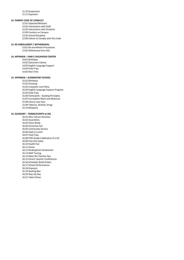11.10 Suspension 11.11 Expulsion

#### **12. PARENT CODE OF CONDUCT**

- 12.01 Expected Behavior 12.02 Interactions with Staff 12.03 Interactions with Students 12.04 Conduct on Campus 12.05 School Discipline
- 12.06 Failure to Comply with this Code

#### **13. RE-ENROLLMENT / WITHDRAWAL**

13.01 Re-enrollment Procedures 13.02 Withdrawal from ISQ

#### **14. APPENDIX – EARLY CHILDHOOD CENTER**

14.01 Birthdays 14.02 Classroom Library 14.03 English Language Support 14.04 Field Trips 14.05 Rest Time

#### **15. APPENDIX – ELEMENTARY SCHOOL**

15.01 Birthdays 15.02 Cheating 15.03 Computer Use Policy 15.04 English Language Support Program 15.05 Field Trips 15.06 Homework – Guiding Principles 15.07 Incomplete Work and Absences 15.08 Library Late Fees 15.09 Tobacco, Alcohol, Drugs 15.10 Weapons

#### **16. GLOSSARY – TERMS/EVENTS at ISQ**

16.01 After School Activities 16.02 Assemblies 16.03 China Week 16.04 Christmas Fair 16.05 Community Service 16.06 Dads to Lunch 16:07 Field Trips 16.08 Fifth Grade Celebration (5-2-6) 16.09 Fine Arts Galas 16.10 Health Fair 16.11 House 16.12 Kindergarten Graduation 16.13 MAP Testing 16.14 Meet the Teacher Day 16.15 Parent Teacher Conferences 16.16 Scholastic Book Orders 16.17 School Performances 16.18 Scipmylo 16.19 Spelling Bee 16.20 Step Up Day 16.21 Talent Show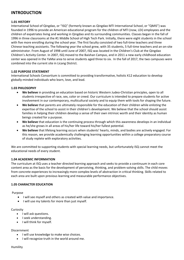# **INTRODUCTION**

### **1.01 HISTORY**

International School of Qingdao, or "ISQ" (formerly known as Qingdao MTI International School, or "QMIS") was founded in 1996 to provide an American educational program for the children of MTI (now, LDi) employees and the children of expatriates living and working in Qingdao and its surrounding communities. Classes began in the fall of 1996 in three classrooms at the #1 Middle School of High Tech Park. Initially, there were eight students in the school with five more enrolling during the school year. The first faculty consisted of two full-time teachers and three Chinese teaching assistants. The following year the school grew, with 35 students, 5 full-time teachers and an on-site administrator. From August of 1998 until June of 2007, ISQ was located in the Children's Club at the Qingdao Children's Activity Center. In 2007, ISQ moved to the Baishan Campus, and in 2011 a new early childhood education center was opened in the YaMai area to serve students aged three to six. In the fall of 2017, the two campuses were combined into the current site in Licang District.

### **1.02 PURPOSE STATEMENT**

International Schools Consortium is committed to providing transformative, holistic K12 education to develop globally-minded individuals who learn, love, and lead.

### **1.03 PHILOSOPHY**

- **We believe** in providing an education based on historic Western Judeo-Christian principles, open to all students irrespective of race, sex, color or creed. Our curriculum is intended to prepare students for active involvement in our contemporary, multicultural society and to equip them with tools for shaping the future.
- **We believe** that parents are ultimately responsible for the education of their children while enlisting the expertise of the school to assist in their children's development. We believe that the school should assist families in helping their children develop a sense of their own intrinsic worth and their identity as human beings created for a purpose.
- **We believe** that education is the continuing process through which this awareness develops in an individual as he/she grows in all areas of his/her life toward his/her fullest potential.
- **We believe** that lifelong learning occurs when students' hearts, minds, and bodies are actively engaged. For this reason, we provide academically challenging learning opportunities within a college preparatory course of study replete with exploratory activities.

We are committed to supporting students with special learning needs, but unfortunately ISQ cannot meet the educational needs of every student.

### **1.04 ACADEMIC INFORMATION**

The curriculum at ISQ uses a teacher directed learning approach and seeks to provide a continuum in each core content area as the basis for the development of perceiving, thinking, and problem-solving skills. The child moves from concrete experiences to increasingly more complex levels of abstraction in critical thinking. Skills related to each area are built upon previous learning and measurable performance objectives.

### **1.05 CHARACTER EDUCATION**

### Purpose

- I will see myself and others as created with value and importance.
- I will use my talents for more than just myself.

### Curiosity

- I will ask questions.
- I seek understanding.
- I will think for myself.

### Discernment

- I will use knowledge to make wise choices.
- I will recognize truth in the world around me.

### Humility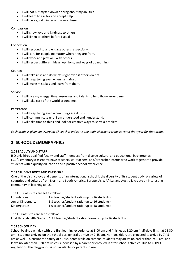- I will not put myself down or brag about my abilities.
- I will learn to ask for and accept help.
- I will be a good winner and a good loser.

### Compassion

- I will show love and kindness to others.
- I will listen to others before I speak.

### Connection

- I will respond to and engage others respectfully.
- I will care for people no matter where they are from.
- I will work and play well with others.
- I will respect different ideas, opinions, and ways of doing things.

### Courage

- I will take risks and do what's right even if others do not.
- I will keep trying even when I am afraid
- I will make mistakes and learn from them.

### Service

- I will use my energy, time, resources and talents to help those around me.
- I will take care of the world around me.

### Persistence

- I will keep trying even when things are difficult.
- I will communicate until I am understood and I understand.
- I will take time to think and look for creative ways to solve a problem.

*Each grade is given an Overview Sheet that indicates the main character traits covered that year for that grade.* 

# **2. SCHOOL DEMOGRAPHICS**

### **2.01 FACULTY AND STAFF**

ISQ only hires qualified faculty and staff members from diverse cultural and educational backgrounds. ECC/Elementary classrooms have teachers, co-teachers, and/or teacher interns who work together to provide students with a quality education and a positive school experience.

### **2.02 STUDENT BODY AND CLASS SIZE**

One of the distinct joys and benefits of an international school is the diversity of its student body. A variety of countries and cultures from North and South America, Europe, Asia, Africa, and Australia create an interesting community of learning at ISQ.

The ECC class sizes are set as follows:

| <b>Foundations</b>  | 1:6 teacher/student ratio (up to 16 students) |
|---------------------|-----------------------------------------------|
| Junior Kindergarten | 1:8 teacher/student ratio (up to 16 students) |
| Kindergarten        | 1:9 teacher/student ratio (up to 18 students) |

The ES class sizes are set as follows:

First through Fifth Grade 1:11 teacher/student ratio (normally up to 26 students)

### **2.03 SCHOOL DAY**

School begins each day with the first learning experience at 8:00 am and finishes at 3:20 pm (half-days finish at 11:30 am). Students arriving on the school bus generally arrive by 7:45 am. Non-bus riders are expected to arrive by 7:45 am as well. To ensure the safety of our students while on campus, students may arrive no earlier than 7:30 am, and leave no later than 3:30 pm unless supervised by a parent or enrolled in after school activities. Due to COVID regulations, the playground is not available for parents to use.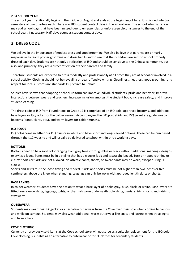### **2.04 SCHOOL YEAR**

The school year traditionally begins in the middle of August and ends at the beginning of June. It is divided into two semesters of two quarters each. There are 180 student contact days in the school year. The school administration may add school days that have been missed due to emergencies or unforeseen circumstances to the end of the school year, if necessary. Half-days count as student contact days.

# **3. DRESS CODE**

We believe in the importance of modest dress and good grooming. We also believe that parents are primarily responsible to teach proper grooming and dress habits and to see that their children are sent to school properly dressed each day. Students are not only a reflection of ISQ and should be sensitive to the Chinese community, but also, and primarily, they are a direct reflection of their parents and family.

Therefore, students are expected to dress modestly and professionally at all times they are at school or involved in a school activity. Clothing should not be revealing or bear offensive writing. Cleanliness, neatness, good grooming, and respect for local customs are standards ISQ desires to uphold.

Studies have shown that adopting a school uniform can improve individual students' pride and behavior, improve interactions between peers and teachers, increase inclusion amongst the student body, increase safety, and improve student learning.

The dress code at ISQ from Foundations to Grade 12 is comprised of an ISQ polo, approved bottoms, and additional base layers or ISQ jacket for the colder season. Accompanying the ISQ polo shirts and ISQ jacket are guidelines to bottoms (pants, skirts, etc.), and warm layers for colder months.

### **ISQ POLOS**

ISQ polos come in either our ISQ blue or in white and have short and long-sleeved options. These can be purchased through the K12 website and will usually be delivered to school within three working days.

### **BOTTOMS**

Bottoms need to be a solid color ranging from gray tones through blue or black without additional markings, designs, or stylized logos. Pants must be in a styling that has a trouser look and is straight legged. Torn or ripped clothing or cut-off shorts or skirts are not allowed. No athletic pants, shorts, or sweat pants may be worn, except during PE classes.

Shorts and skirts must be loose fitting and modest. Skirts and shorts must be not higher than two inches or five centimeters above the knee when standing. Leggings can only be worn with approved length skirts or shorts.

### **BASE LAYERS**

In colder weather, students have the option to wear a base layer of a solid gray, blue, black, or white. Base layers are fitted long sleeve shirts, leggings, tights, or thermals worn underneath polo shirts, pants, shirts, shorts, and skirts to stay warm.

### **OUTERWEAR**

Students may wear their ISQ jacket or alternative outerwear from the Cove over their polo when coming to campus and while on campus. Students may also wear additional, warm outerwear like coats and jackets when traveling to and from school.

### **COVE CLOTHING**

Currently or previously sold items at the Cove school store will not serve as a suitable replacement for the ISQ polo. Cove clothing is suitable as an alternative to outerwear or for PE clothes for secondary students.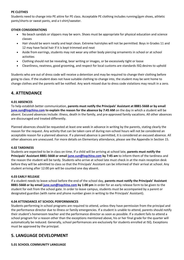### **PE CLOTHES**

Students need to change into PE attire for PE class. Acceptable PE clothing includes running/gym shoes, athletic pants/shorts or sweat pants, and a t-shirt/sweater.

### **OTHER CONSIDERATIONS**

- No beach sandals or slippers may be worn. Shoes must be appropriate for physical education and science classes
- Hair should be worn neatly and kept clean. Extreme hairstyles will not be permitted. Boys in Grades 11 and 12 may have facial hair if it is kept trimmed and neat
- Aside from earrings, students may not wear any other body piercing ornaments in school or at school activities
- Clothing should not be revealing, bear writing or images, or be excessively tight or loose
- Cleanliness, neatness, good grooming, and respect for local customs are standards ISQ desires to uphold

Students who are out of dress code will receive a detention and may be required to change their clothing before going to class. If the student does not have suitable clothing to change into, the student may be sent home to change clothes and the parents will be notified. Any work missed due to dress code violations may result in a zero.

## **4. ATTENDANCE**

### **4.01 ABSENCES**

To help establish better communication, **parents must notify the Principals' Assistant at 8881-5668 or by email [june.sun@isqchina.com](mailto:june.sun@isqchina.com) to explain the reason for the absence by 7:45 AM** on the day in which a student will be absent. Excused absences include: illness, death in the family, and pre-approved family vacations. All other absences are discouraged and treated differently.

Planned absences should be requested at least one week in advance in writing by the parents, stating clearly the reason for the request. Any activity that can be taken care of during non-school hours will not be considered an acceptable reason for a planned absence. If a planned absence is permitted, it is considered an excused absence. All other absences are unexcused. For more details on Elementary attendance, please see the Appendix in Section 15.

### **4.02 TARDINESS**

Students are expected to be in class on time. If a child will be arriving at school late, **parents must notify the Principals' Assistant 8881-5668 or email [june.sun@isqchina.com](mailto:june.sun@isqchina.com) by 7:45 am** to inform them of the tardiness and the reason the student will be tardy. Students who arrive at school late must check in at the main reception desk before they will be admitted to class so that the Principals' Assistant can be informed of their arrival at school. Any student arriving after 12:00 pm will be counted one day absent.

### **4.03 EARLY RELEASE**

If a student needs to leave school before the end of the school day, **parents must notify the Principals' Assistant 8881-5668 or by email [june.sun@isqchina.com](mailto:june.sun@isqchina.com) by 1:00 pm** in order for an early release form to be given to the student for exit from the school gate. In order to leave campus, students must be accompanied by a parent or designated guardian (with name and phone number given in writing to the Principals' Assistant).

### **4.04 ATTENDANCE AT SCHOOL PERFORMANCES**

Students performing in school programs are required to attend, unless they have permission from the principal and the performance director due to illness or family emergencies. If a student is unable to attend, parents should notify their student's homeroom teacher and the performance director as soon as possible. If a student fails to attend a school program for a reason other than the exceptions mentioned above, his or her final grade for the quarter will automatically be reduced. Generally, school performances are exclusively for students enrolled at ISQ. Exceptions must be approved by the principal.

## **5. LANGUAGE DEVELOPMENT**

**5.01 SCHOOL COMMUNITY LANGUAGE**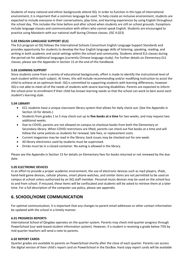Students of many national and ethnic backgrounds attend ISQ. In order to function in this type of international environment, it is important that a common language be used. To help create an inclusive environment, students are expected to include everyone in their conversations, play time, and learning experiences by using English throughout the school day. This includes the time before and after school when students are still on school grounds. Exceptions include language classes and communication with others who cannot speak English. Students are encouraged to practice using Mandarin with our national staff during Chinese classes. (ISC 4.023)

### **5.02 ENGLISH LANGUAGE SUPPORT (ELS)**

The ELS program at ISQ follows the International Schools Consortium English Language Support Standards and provides opportunity for students to develop the four English language skills of listening, speaking, reading, and writing in both academic and social settings within the school and community. Students attend ELS classes during the period set for additional languages (currently Chinese language study). For further details on Elementary ELS classes, please see the Appendix in Section 15 at the end of this handbook.

### **5.03 LEARNING SUPPORT**

Since students come from a variety of educational backgrounds, effort is made to identify the instructional level of each student within each subject. At times, this will include recommending and/or modifying instruction to assist the child to achieve at an optimum level. ISQ is committed to supporting students with learning differences, however ISQ is not able to meet all of the needs of students with severe learning disabilities. Parents are expected to inform the school prior to enrollment if their child has known learning needs so that the school can work to best assist each student's learning style.

### **5.04 LIBRARY**

- ECC students have a unique classroom library system that allows for daily check-out. (See the Appendix in Section 14 for details.)
- Students from grades 1 to 5 may check-out up to **five books at a time** for two weeks, and may request two additional weeks.
- Due to COVID, parents are not allowed on campus to checkout books from both the Elementary or Secondary library. When COVID restrictions are lifted, parents can check out five books at a time and will follow the same policies as students for renewal, late fees, or replacement costs.
- Current magazines may be read in the library; back issues may be checked out for one week.
- All library electronics used by students must be supervised.
- Drinks must be in a closed container. No eating is allowed in the library.

Please see the Appendix in Section 15 for details on Elementary fees for books returned or not renewed by the due date.

### **5.05 ELECTRONIC DEVICES**

In an effort to provide a proper academic environment, the use of electronic devices such as mp3 players, iPads, hand-held game devices, cellular phones, smart phone watches, and similar items are not permitted to be used on campus at school unless authorized by an ISQ staff member. Personal music devices may be used on the school bus to and from school. If misused, these items will be confiscated and students will be asked to retrieve them at a later time. For a full description of the computer use policy, please see appendix.

# **6. SCHOOL/HOME COMMUNICATION**

For optimal communication, it is important that any changes to parent email addresses or other contact information be updated with the school in a timely manner.

### **6.01 PROGRESS REPORTS**

International School of Qingdao operates on the quarter system. Parents may check mid-quarter progress through PowerSchool (our web-based student information system). However, if a student is receiving a grade below 73% by mid-quarter teachers will send a note to parents.

### **6.02 REPORT CARDS**

Quarter grades are available to parents on PowerSchool shortly after the close of each quarter. Parents can access the digital version of their child's report card on PowerSchool in the DocBox. Hard copy report cards will be available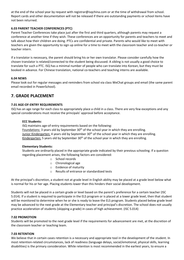at the end of the school year by request with registrar@isqchina.com or at the time of withdrawal from school. Report cards and other documentation will not be released if there are outstanding payments or school items have not been returned.

### **6.03 PARENT TEACHER CONFERENCES (PTC)**

Parent Teacher Conferences take place just after the first and third quarters, although parents may request a conference at another time if they wish. These conferences are an opportunity for parents and teachers to meet and talk about how their children are doing. PTCs are confidential and private. Parents who would like to meet with teachers are given the opportunity to sign up online for a time to meet with the classroom teacher and co-teacher or teacher intern.

If a translator is necessary, the parent should bring his or her own translator. Please consider carefully how the chosen translator is related/connected to the student being discussed. A sibling is not usually a good choice to translate for such a PTC. ISQ has a minimal number of people who can translate into Korean, but they must be booked in advance. For Chinese translation, national co-teachers and teaching interns are available.

### **6.04 NEWS**

Please look out for regular messages and reminders from school via class WeChat groups and email (the same parent email recorded in PowerSchool).

### **7. GRADE PLACEMENT**

### **7.01 AGE-OF-ENTRY REQUIREMENTS**

ISQ has an age range for each class to appropriately place a child in a class. There are very few exceptions and any special considerations must receive the principals' approval before acceptance.

### **ECC Students:**

ISQ maintains age-of-entry requirements based on the following:

Foundations: 3 years old by September 30<sup>th</sup> of the school year in which they are enrolling. Junior Kindergarten: 4 years old by September 30<sup>th</sup> of the school year in which they are enrolling. Kindergarten: 5 years old by September  $30<sup>th</sup>$  of the school year in which they are enrolling.

### **Elementary Students:**

Students are ordinarily placed in the appropriate grade indicated by their previous schooling. If a question regarding placement arises, the following factors are considered:

- o School records
- o Chronological age
- o Evidence of maturity
- o Results of entrance or standardized tests

At the principal's discretion, a student not at grade level in English ability may be placed at a grade level below what is normal for his or her age. Placing students lower than this hinders their social development.

Students will not be placed in a certain grade or level based on the parent's preference for a certain teacher (ISC 5.014). If a student is required to participate in the ELS program or is placed at a lower grade level, then that student will be monitored to determine when he or she is ready to leave the ELS program. Students placed below grade level may be advanced to the next grade at the Elementary teacher and principal's discretion. The school does not usually practice acceleration of students (skipping a grade) in cases of high achievement. (ISC 5.014)

### **7.02 PROMOTION**

Students will be promoted to the next grade level if the requirements for advancement are met, at the discretion of the classroom teacher or teaching team.

### **7.03 RETENTION**

We believe that in certain cases retention is a necessary and appropriate tool in the development of the student. In most retention-related circumstances, lack of readiness (language delays, social/emotional, physical skills, learning disabilities) is the primary consideration. While retention is most recommended in the earliest years, to ensure a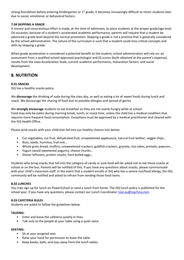strong foundation before entering Kindergarten or 1<sup>st</sup> grade, it becomes increasingly difficult to retain students later due to social, emotional, or behavioral factors.

### **7.04 SKIPPING A GRADE**

A sincere and conscientious effort is made, at the time of admission, to place students at the proper grade/age level. On occasion, because of a student's accelerated academic performance, parents will request that a student be advanced a grade level beyond the normal promotion. Skipping a grade is not a practice that is generally considered by the school administration. The nature of the curriculum is such that a student could miss critical concepts and skills by skipping a grade.

When grade acceleration is considered a potential benefit to the student, school administrators will rely on: an assessment from a qualified school-approved psychologist and IQ scores (both obtained at the parent's expense), results from the Iowa Acceleration Scale, current academic performance, maturation factors, and social development.

# **8. NUTRITION**

### **8.01 SNACKS**

ISQ has a healthy snacks policy.

We **discourage** the drinking of soda during the class day, as well as eating a lot of sweet foods during lunch and snack. We discourage the sharing of food due to possible allergies and spread of germs.

We **strongly encourage** students to eat breakfast so they are not overly hungry while at school.

Food may only be eaten during morning break, lunch, or snack time, unless the child has a medical condition that requires more frequent food consumption. Exceptions must be approved by a medical practitioner and cleared with the ISQ Health Office.

Please send snacks with your child that fall into our healthy choices lists below:

- Cut vegetables, cut fruit, dehydrated fruit, unsweetened applesauce, natural fruit leather, veggie chips…
- Nuts, seeds, hummus, trail mix…
- Whole grain bread, muffins, unsweetened crackers, goldfish crackers, granola, rice cakes, pretzels, popcorn…
- Yogurt (avoid sweetened yogurts), cheese chunks…
- Dinner leftovers, protein snacks, hard boiled eggs…

Students who bring snacks that fall into the category of candy or junk food will be asked not to eat those snacks at school or on the bus. Parents will be notified of this. If you have any questions about snacks, please communicate with your child's classroom staff. In the event that a student enrolls in ISQ who has a severe nut/food allergy, the ISQ community will be notified and asked to refrain from sending those food items.

### **8.02 LUNCHES**

You may sign up for lunch on PowerSchool or send a lunch from home. The ISQ lunch policy is published for the school year. If you have any questions, please contact our Lunch Coordinator [rose.xu@isqchina.com](mailto:rose.xu@isqchina.com)

### **8.03 CAFETERIA RULES**

Students are asked to follow the guidelines below.

### **TALKING:**

- Enter and leave the cafeteria quietly in lines
- Talk only to the people at your table using a quiet voice

### **SEATING:**

- Sit at your assigned seat
- Raise your hand for permission to leave the table
- Keep books, balls, and toys away from the lunch tables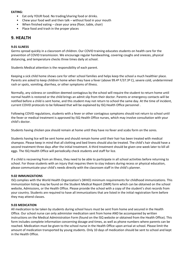### **EATING:**

- Eat only YOUR food. No trading/sharing food or drinks.
- Chew your food well and then talk without food in your mouth
- When finished eating clean your area (floor, table, chair)
- Place food and trash in the proper places

### **9. HEALTH**

### **9.01 ILLNESS**

Germs spread quickly in a classroom of children. Our COVID training educates students on health care for the prevention of COVID transmission. We encourage regular handwashing, covering coughs and sneezes, physical distancing, and temperature checks three times daily at school.

Students Medical attention is the responsibility of each parent.

Keeping a sick child home shows care for other school families and helps keep the school a much healthier place. Parents are asked to keep children home when they have a fever (above 99.4º F/37.3º C), severe cold, undetermined rash or spots, vomiting, diarrhea, or other symptoms of illness.

Normally, any sickness or condition deemed contagious by the school will require the student to return home until normal health is restored or the child brings an admit slip from their doctor. Parents or emergency contacts will be notified before a child is sent home, and this student may not return to school the same day. At the time of incident, current COVID protocols to be followed that will be explained by ISQ Health Office personnel .

Following COVID regulations, students with a fever or other contagious symptoms should not return to school until the fever or medical treatment is approved by ISQ Health Office nurses, which may involve consultation with your child's doctor.

Students having chicken pox should remain at home until they have no fever and scabs form on the sores.

Students having lice will be sent home and should remain home until their hair has been treated with medical shampoo. Please keep in mind that all clothing and bed linens should also be treated. The child's hair should have a second treatment three days after the initial treatment. A third treatment should be given one week later to kill all eggs. The ISQ Health Office will periodically check students and staff for lice.

If a child is recovering from an illness, they need to be able to participate in all school activities before returning to school. For those students with an injury that requires them to stay indoors during recess or physical education, please communicate your child's needs directly with the classroom staff in the child's planner.

### **9.02 IMMUNIZATIONS**

ISQ complies with the World Health Organization's (WHO) minimum requirements for childhood immunizations. This immunization listing may be found on the Student Medical Report (SMR) form which can be obtained on the school website, Admissions, or the Health Office. Please provide the school with a copy of the student's shot records from your country. Students are required to have all immunizations that are listed in the initial registration form before they may attend classes.

### **9.03 MEDICATION**

All medication to be taken by students during school hours must be sent from home and secured in the Health Office. Our school nurse can only administer medication sent from home AND be accompanied by written instructions on the Medical Administration Form (found on the ISQ website or obtained from the Health Office). This form includes complete information concerning dosage and times, as well as phone numbers where parents can be reached. Medication must be given to the school nurse in the Health Office upon arrival at school. Please limit the amount of medication transported by young students. Only 10 days of medication should be sent to school and kept in the Health Office.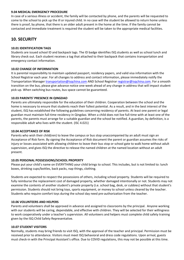### **9.04 MEDICAL EMERGENCY PROCEDURE**

In case of a serious illness or accident, the family will be contacted by phone, and the parents will be requested to come to the school to pick up the ill or injured child. In no case will the student be allowed to return home unless there is proof, by phone, that there is an older adult present in the home at the time. If the family cannot be contacted and immediate treatment is required the student will be taken to the appropriate medical facilities.

# **10. SECURITY**

### **10.01 IDENTIFICATION TAGS**

Students are issued school ID and backpack tags. The ID badge identifies ISQ students as well as school lunch and library check out. Each student receives a tag that attached to their backpack that contains transportation and emergency contact information.

### **10.02 CHANGE OF INFORMATION**

It is parental responsibility to maintain updated passport, residency papers, and valid visa information with the School Registrar each year. For all changes to address and contact information, please immediately notify the Transportation Manager [transportation@isqchina.com](mailto:transportation@isqchina.com) AND School Registrar [registrar@isqchina.com.](mailto:registrar@isqchina.com) For a smooth transition on the bus, please give advance notice one-week ahead of any change in address that will impact student pick-up. When switching bus routes, bus space cannot be guaranteed.

### **10.03 PARENTS' PRESENCE IN QINGDAO**

Parents are ultimately responsible for the education of their children. Cooperation between the school and the home is necessary to ensure that students reach their fullest potential. As a result, and in the best interest of the student, ISQ has established the following guidelines concerning residency of parents. At least one parent or legal guardian must maintain full-time residency in Qingdao. When a child does not live full-time with at least one of the parents, the parents must arrange for a suitable guardian and the school be notified. A guardian, by definition, is a responsible adult who lives with the student. (ISC 4.021)

### **10.04 ACCEPTANCE OF RISK**

Parents who wish their child(ren) to leave the campus or bus stop unaccompanied by an adult must sign an Acceptance of Risk form. By signing the Acceptance of Risk document the parent or guardian assumes the risks of injury or losses associated with allowing children to leave their bus stop or school gate to walk home without adult supervision, and gives ISQ the directive to release the named children at the named location without an adult present.

### **10.05 PERSONAL POSSESSIONS/SCHOOL PROPERTY**

Please put your child's name on EVERYTHING your child brings to school. This includes, but is not limited to: lunch boxes, drinking cups/bottles, back packs, nap things, clothing.

Students are expected to respect the possessions of others, including school property. Students will be required to fully reimburse the replacement cost of damaged property, whether damaged intentionally or not. Students may not examine the contents of another student's private property (i.e. school bag, desk, or cubbies) without that student's permission. Students should not bring toys, sports equipment, or money to school unless cleared by the teacher. Students who require comfort toys during the school day need pre-authorization from the teacher.

### **10.06 VOLUNTEERS AND HELPERS**

Parents and volunteers shall be approved in advance and assigned to classrooms by the principal. Anyone working with our students will be caring, dependable, and effective with children. They will be selected for their willingness to work cooperatively under a teacher's supervision. All volunteers and helpers must complete child safety training given by the ISQ Child Safety Representative.

### **10.07 STUDENT VISITORS**

Normally, students may bring friends to visit ISQ, with the approval of the teacher and principal. Permission must be received prior to attendance. Visitors must meet ISQ behavioral and dress code regulations. Upon arrival, guests must check-in with the Principal Assistant's office. Due to COVID regulations, this may not be possible at this time.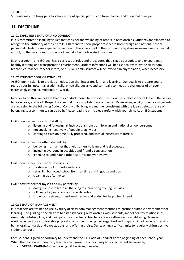### **10.08 PETS**

Students may not bring pets to school without special permission from teacher and divisional principal.

# **11. DISCIPLINE**

### **11.01 EXPECTED BEHAVIOR AND CONDUCT**

ISQ is committed to instilling values that consider the wellbeing of others in relationships. Students are expected to recognize the authority of the entire ISQ staff and to show proper respect to both foreign and national school personnel. Students are expected to represent the school well in the community by showing exemplary conduct at school, on the way to and from school, and at all school-related functions.

Each classroom, and ISQ bus, has a basic set of rules and procedures that is age appropriate and encourages a healthy learning and transportation environment. Student infractions will be first dealt with by the classroom teacher, co-teacher, teacher intern, or bus TA. Administrators will be involved in any violation, when necessary.

### **11.02 STUDENT CODE OF CONDUCT**

At ISQ, our mission is to provide an education that integrates faith and learning. Our goal is to prepare you to realize your full potential academically, physically, socially, and spiritually to meet the challenges of an everincreasingly complex, multicultural world.

In order to do this, we believe that our conduct should be consistent with our basic philosophy of life and the values to learn, love, and lead. Respect is essential to accomplish these outcomes. By enrolling in ISQ students and parents are agreeing to the following Code of Conduct. By living in a manner consistent with the ideals below a sense of belonging to a community can be built. Please read the principles carefully with your child. As an ISQ student:

I will show respect for school staff by:

- o listening and following all instructions from both foreign and national school personnel
- o not speaking negatively of people or activities
- o coming to class on time, fully prepared, and with all necessary materials

I will show respect for other students by:

- o behaving in a manner that helps others to learn and feel accepted
- o including everyone in activities and friendly conversation
- o listening to understand other cultures and worldviews

I will show respect for school property by:

- o treating school property with care
- o returning borrowed school items on time and in good condition
- o cleaning up after myself

I will show respect for myself and my parents by:

- o doing my best to learn all the subjects; practicing my English skills
- o following ISQ and classroom specific rules
- o knowing my strengths and weaknesses and asking for help when I need it

### **11.03 BEHAVIOR MANAGEMENT**

ISQ teachers are trained to use a variety of classroom management methods to ensure a suitable environment for learning. The guiding principles are to establish caring relationships with students, model healthy relationships, exemplify self-discipline, and treat parents as partners. Teachers are also attentive to establishing classroom routines, ensuring a comfortable physical environment, being well organized and prepared in advance, expressing behavioral standards and expectations, and offering praise. Our teaching staff commits to regularly affirm positive student conduct.

Each student is given opportunity to understand the ISQ Code of Conduct at the beginning of each school year. When that code is not honored, teachers recognize the opportunity to correct errant behavior by:

• **VERBAL WARNING** One warning will be given, if needed.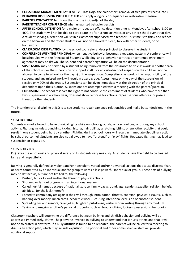- **CLASSROOM MANAGEMENT SYSTEM** (i.e. Class Dojo, the color chart, removal of free play at recess, etc.)
- **BEHAVIOR DISCUSSION WITH THE CHILD** and apply a logical consequence or restorative measure
- **PARENTS CONTACTED** to inform them of the incident(s) of the day
- **PARENT TEACHER CONFERENCE** when unwanted behavior persists
- **AFTER-SCHOOL DETENTION** for a major or repeated offence detention time is: Mondays after school 3:00 to 4:00. The student will not be able to participate in after-school activities or any other school event that day. A student serving a detention will sit in a classroom supervised by a teacher. This time is to think and reflect on the behavior and therefore students will not be allowed to sleep, talk with other students, or do homework.
- **CLASSROOM OBSERVATION** by the school counselor and/or principal to observe the student.
- **CONFERENCE WITH THE PRINCIPAL** when negative behavior becomes a repeated pattern. A conference will be scheduled with the Principal of Student Wellbeing, and a behavior contract or continued enrollment agreement may be drawn. The student and parent's signature will be on the documentation.
- **SUSPENSION** may be served by a student being removed from the classroom to do classwork in another area of the school under the supervision of support staff. For an out-of-school suspension the child will not be allowed to come to school for the day(s) of the suspension. Completing classwork is the responsibility of the student, and any missed work will result in a zero grade. Assessments on the day of the suspension will receive only 70% of the grade. Suspensions can be given immediately at the discretion of the principal dependent upon the situation. Suspensions are accompanied with a meeting with the parent/guardian.
- **EXPULSION:** The school reserves the right to not continue the enrollment of students who have more than two suspensions in a school year, does not show remorse for actions, repeat serious offences, or pose a threat to other students.

The intention of all discipline at ISQ is to see students repair damaged relationships and make better decisions in the future.

### **11.04 FIGHTING**

Students are not allowed to have physical fights while on school grounds, on a school bus, or during any school activity. Fighting includes: punching, kicking, hitting, hair pulling, scratching, biting, or any other activity that could result in one student being hurt by another. Fighting during school hours will result in immediate disciplinary action by school personnel. Students are also not allowed to have "pretend" or "play" fights. Repeated fighting may lead to suspension or expulsion.

### **11.05 BULLYING**

ISQ takes the emotional and physical safety of its students very seriously. All students have the right to be treated fairly and respectfully.

Bullying is generally defined as violent and/or nonviolent, verbal and/or nonverbal, actions that cause distress, fear, or harm committed by an individual and/or group towards a less powerful individual or group. These acts of bullying may be defined as, but are not limited to, the following:

- Pushed, hit, or kicked and/or the threat of physical actions
- Shunned or left out of groups in an intentional manner
- Called hurtful names because of nationality, race, family background, age, gender, sexuality, religion, beliefs, abilities… (or the lack thereof)
- Forced to commit any act against their will through intimidation, threats, coercion, physical assaults, such as: handing over money, lunch cards, academic work…, causing intentional exclusion of another student
- Spreading lies and rumors, cruel jokes, laughter, put-downs, verbally or in writing through any medium
- Taking or damaging another's personal property, such as: food, clothing, lockers, possessions, textbooks…

Classroom teachers will determine the difference between bullying and childish behavior and bullying will be addressed immediately. ISQ will help anyone involved in bullying to understand that it hurts others and that it will not be tolerated in any form. If a bully attitude is found to be repeated, the parents will be called for a meeting to discuss an action plan, which may include expulsion. The principal and other administrative staff will provide additional support.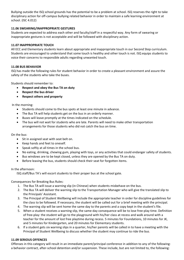Bullying outside the ISQ school grounds has the potential to be a problem at school. ISQ reserves the right to take disciplinary action for off-campus bullying related behavior in order to maintain a safe learning environment at school. (ISC 4.012)

### **11.06 SWEARING/INAPPROPRIATE GESTURES**

Students are expected to address each other and faculty/staff in a respectful way. Any form of swearing or inappropriate gestures is not acceptable and will be followed with disciplinary action.

### **11.07 INAPPROPRIATE TOUCH**

All ECC and Elementary students learn about appropriate and inappropriate touch in our Second Step curriculum. Students are encouraged to understand that some touch is healthy and other touch is not. ISQ equips students to voice their concerns to responsible adults regarding unwanted touch.

### **11.08 BUS BEHAVIOR**

ISQ has made the following rules for student behavior in order to create a pleasant environment and assure the safety of the students who take the buses.

Students should remember to:

- **Respect and obey the Bus TA on duty**
- **Respect the bus driver**
- **Respect others and property**

In the morning:

- Students should come to the bus spots at least one minute in advance.
- The Bus TA will help students get on the bus in an orderly manner.
- Buses will leave promptly at the times indicated on the schedule.
- The bus will not wait for students who are late. Parents will need to make other transportation arrangements for those students who did not catch the bus on time.

### On the bus:

- Sit in assigned seat with seat belt on.
- Keep hands and feet to oneself.
- Speak softly at all times in the school bus.
- No eating, drinking, chewing gum, playing with toys, or any activities that could endanger safety of students.
- Bus windows are to be kept closed, unless they are opened by the Bus TA on duty.
- Before leaving the bus, students should check their seat for forgotten items.

### In the afternoon:

ISQ staff/Bus TA's will escort students to their proper bus at the school gate.

Consequences for Breaking Bus Rules:

- 1. The Bus TA will issue a warning slip (in Chinese) when students misbehave on the bus.
- 2. The Bus TA will deliver the warning slip to the Transportation Manager who will give the translated slip to the Principals' Assistant.
- 3. The Principal of Student Wellbeing will include the appropriate teacher in order for discipline guidelines for the class to be followed. If necessary, the student will be called out for a brief meeting with the principal.
- 4. The warning slip will be sent home the same day to the parents and a copy kept in the student's file.
- 5. When a student receives a warning slip, the same-day consequence will be to lose free-play time. Definition of free-play: the student will go to the playground with his/her class at recess and walk around with a teacher for the amount of lost free playtime during recess. 5 minutes for Foundations, 10 minutes for JK, and 5 minutes for Kindergarten, and 20 minutes for Elementary students.
- 6. If a student gets six warning slips in a quarter, his/her parents will be called in to have a meeting with the Principal of Student Wellbeing to discuss whether the student may continue to ride the bus.

### **11.09 SERIOUS OFFENCES**

Offenses in this category will result in an immediate parent/principal conference in addition to any of the following: a behavior contract, after-school detention and/or suspension. These include, but are not limited to, the following: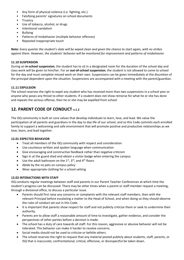- Any form of physical violence (i.e. fighting, etc.)
- Falsifying parents' signatures on school documents
- Truancy
- Use of tobacco, alcohol, or drugs
- Intentional vandalism
- Bullying
- Patterns of misbehavior (multiple behavior offences)
- Repeated inappropriate touch

*Note: Every quarter the student's slate will be wiped clean and given the chance to start again, with no strikes against them. However, the students' behavior will be monitored for improvement and patterns of misbehavior.*

### **11.10 SUSPENSION**

During an **in-school suspension**, the student has to sit in a designated room for the duration of the school day and class work will be given to him/her. For an **out-of-school suspension**, the student is not allowed to come to school for the day and must complete missed work on their own. Suspensions can be given immediately at the discretion of the principal dependent upon the situation. Suspensions are accompanied with a meeting with the parent/guardian.

### **11.11 EXPULSION**

The school reserves the right to expel any student who has received more than two suspensions in a school year or anyone who poses any threat to other students. If a student does not show remorse for what he or she has done and repeats the serious offense, then he or she may be expelled from school.

# **12. PARENT CODE OF CONDUCT v.1.2**

The ISQ community is built on core values that develop individuals to learn, love, and lead. We value the participation of all parents and guardians in the day to day life of our school, and so this Code commits each enrolled family to support a welcoming and safe environment that will promote positive and productive relationships as we love, learn, and lead together.

### **12.01 EXPECTED BEHAVIOR**

- Treat all members of the ISQ community with respect and consideration
- Use courteous written and spoken language when communication
- Give encouraging and constructive feedback rather than negative criticism
- Sign in at the guard shed and obtain a visitor badge when entering the campus
- Use the adult bathroom on the  $1<sup>st</sup>$ ,  $3<sup>rd</sup>$ , and  $4<sup>th</sup>$  floors
- Abide by the no pets on campus policy
- Wear appropriate clothing for a school setting

### **12.02 INTERACTIONS WITH STAFF**

ISQ conducts regular meetings between staff and parents in our Parent Teacher Conferences at which time the student's progress can be discussed. There may be other times when a parent or staff member request a meeting, through a divisional office, to discuss a particular issue.

- Parents should first raise any concerns or complaints with the relevant staff members, then with the relevant Principal before escalating a matter to the Head of School, and when doing so they should observe the rules of conduct set out in this Code.
- It is important that parents show respect for staff and not publicly criticize them or seek to undermine their authority.
- Parents are to allow staff a reasonable amount of time to investigate, gather evidence, and consider the perspectives of other parties before a decision is made.
- The school has a duty of care towards all staff. For this reason, aggressive or abusive behavior will not be tolerated. This behavior can make it harder to resolve concerns.
- Social media should not be used to criticize or belittle others.
- The school reserves the right to request that any material posted publicly about students, staff, parents, or ISQ that is inaccurate, confrontational, critical, offensive, or disrespectful be taken down.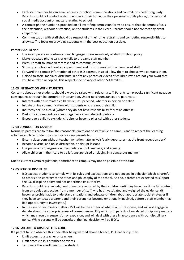- Each staff member has an email address for school communications and commits to check it regularly. Parents should not contact a staff member at their home, on their personal mobile phone, or a personal social media account on matters relating to school.
- A contact phone number is provided on all event/trip permission forms to ensure that chaperones focus their attention, without distraction, on the students in their care. Parents should not contact any event chaperone.
- Communication with staff should be respectful of their time restraints and competing responsibilities to allow staff to focus on providing students with the best education possible.

Parents Should Not:

- Use intemperate or confrontational language; speak negatively of staff or school policy
- Make repeated phone calls or emails to the same staff member
- Pressure staff to immediately respond to communication
- Show up at school without an appointment and insist to meet with a member of staff
- Forward the contact information of other ISQ parents. Instead allow them to choose who contacts them.
- Upload to social media or distribute in print any photos or videos of children (who are not your own) that you have taken or copied. This respects the privacy of other ISQ families.

### **12.03 INTERACTION WITH STUDENTS**

Concerns about other students should always be raised with relevant staff. Parents can provoke significant negative consequences through inappropriate intervention. Under no circumstances are parents to:

- Interact with an unrelated child, while unsupervised, whether in person or online
- Initiate online communication with students who are not their child
- Indirectly accuse a child (whom they do not have responsibility for) of an offense
- Post critical comments or speak negatively about students publicly
- Encourage a child to exclude, criticize, or become physical with other students

### **12.04 CONDUCT ON CAMPUS**

Normally, parents are to follow the reasonable directions of staff while on campus and to respect the learning activities in place. Under no circumstances are parents to:

- Enter a classroom without teacher invitation (late arrivals/early departures at the front reception desk)
- Become a visual and noise distraction, or disrupt lessons
- Use public acts of aggression, manipulation, foul language, and arguing
- Allow children in their care to be left unsupervised or playing in a dangerous manner

Due to current COVID regulations, admittance to campus may not be possible at this time.

### **12.05 SCHOOL DISCIPLINE**

- ISQ expects students to comply with its rules and expectations and not engage in behavior which is harmful to others or is contrary to the ethos and philosophy of the school. And so, parents are expected to support the ISQ discipline policy and not undermine its authority.
- Parents should reserve judgment of matters reported by their children until they have heard the full context, from an adult perspective, from a member of staff who has investigated and weighed the evidence. (It becomes problematic to understand situations and educate children about appropriate social strategies if they have contacted a parent and their parent has become emotionally involved, before a staff member has had opportunity to investigate.)
- In the case of disciplinary matters, ISQ will be the arbiter of what is a just response, and will not engage in debate about the appropriateness of consequences. ISQ will inform parents of escalated disciplinary matters which may result in suspension or expulsion, and will deal with these in accordance with our disciplinary policy. While parents will be consulted, the final decision will be ISQ's.

### **12.06 FAILURE TO OBSERVE THIS CODE**

If a parent fails to observe this Code after being warned about a breach, ISQ leadership may:

- Limit access to a teacher or teachers
- Limit access to ISQ premises or events
- Terminate the enrollment of the student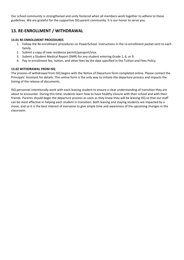Our school community is strengthened and unity fostered when all members work together to adhere to these guidelines. We are grateful for the supportive ISQ parent community. It is our honor to serve you.

# **13. RE-ENROLLMENT / WITHDRAWAL**

### **13.01 RE-ENROLLMENT PROCEDURES**

- 1. Follow the Re-enrollment procedures on PowerSchool. Instructions in the re-enrollment packet sent to each family.
- 2. Submit a copy of new residence permit/passport/visa.
- 3. Submit a Student Medical Report (SMR) for any student entering Grade 1, 6, or 9.
- 4. Pay re-enrollment fee, tuition, and other fees by the date specified in the Tuition and Fees Policy.

### **13.02 WITHDRAWAL FROM ISQ**

The process of withdrawal from ISQ begins with the Notice of Departure form completed online. Please contact the Principals' Assistant for details. This online form is the only way to initiate the departure process and impacts the timing of the release of documents.

ISQ personnel intentionally work with each leaving student to ensure a clear understanding of transition they are about to encounter. During this time, students learn how to have healthy closure with their school and with their friends. Parents should begin the departure process as soon as they know they will be leaving ISQ so that our staff can be most effective in helping each student in transition. Both leaving and staying students are impacted by a move, and so it is the best interest of everyone to give ample time and awareness of the upcoming changes in the classroom.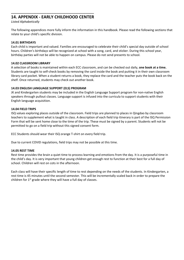### **\_\_\_\_\_\_\_\_\_\_\_\_\_\_\_\_\_\_\_\_\_\_\_\_\_\_\_\_\_\_\_\_\_\_\_\_\_\_\_\_\_\_\_\_\_\_\_\_\_ 14. APPENDIX - EARLY CHILDHOOD CENTER**

*Listed Alphabetically*

The following appendices more fully inform the information in this handbook. Please read the following sections that relate to your child's specific division.

### **14.01 BIRTHDAYS**

Each child is important and valued. Families are encouraged to celebrate their child's special day outside of school hours. Children's birthdays will be recognized at school with a song, card, and sticker. During this school year, birthday parties will not be able to happen on campus. Please do not send presents to school.

### **14.02 CLASSROOM LIBRARY**

A selection of books is maintained within each ECC classroom, and can be checked out daily, **one book at a time.**  Students are taught to self-check books by removing the card inside the book and putting it in their own classroom library card pocket. When a student returns a book, they replace the card and the teacher puts the book back on the shelf. Once returned, students may check out another book.

### **14.03 ENGLISH LANGUAGE SUPPORT (ELS) PROGRAM**

JK and Kindergarten students may be included in the English Language Support program for non-native English speakers through pullout classes. Language support is infused into the curricula to support students with their English language acquisition.

### **14.04 FIELD TRIPS**

ISQ values exploring places outside of the classroom. Field trips are planned to places in Qingdao by classroom teachers to supplement what is taught in class. A description of each field trip itinerary is part of the ISQ Permission Form that will be sent home close to the time of the trip. These must be signed by a parent. Students will not be permitted to go on a field trip without this signed consent form.

ECC Students should wear their ISQ orange T-shirt on every field trip.

Due to current COVID regulations, field trips may not be possible at this time.

### **14.05 REST TIME**

Rest time provides the brain a quiet time to process learning and emotions from the day. It is a purposeful time in the child's day. It is very important that young children get enough rest to function at their best for a full day of school. Children will rest on cots in the afternoon.

Each class will have their specific length of time to rest depending on the needs of the students. In Kindergarten, a rest time is 45 minutes until the second semester. This will be incrementally scaled back in order to prepare the children for  $1<sup>st</sup>$  grade where they will have a full day of classes.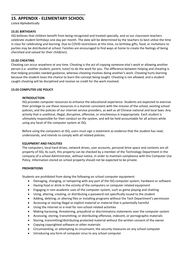# **\_\_\_\_\_\_\_\_\_\_\_\_\_\_\_\_\_\_\_\_\_\_\_\_\_\_\_\_\_\_\_\_ 15. APPENDIX - ELEMENTARY SCHOOL**

*Listed Alphabetically*

### **15.01 BIRTHDAYS**

ISQ believes that children benefit from being recognized and treated specially, and so our classroom teachers celebrate student birthdays one day per month. The date will be determined by the teachers to best utilize the time in class for celebrating and learning. Due to COVID restrictions at this time, no birthday gifts, food, or invitations to parties may be distributed at school. Families are encouraged to find ways at home to create the feelings of being cherished and valued for their child(ren).

### **15.02 CHEATING**

Cheating can occur anywhere at any time. Cheating is the act of copying someone else's work or allowing another person (i.e. another student, parent, tutor) to do the work for you. The difference between helping and cheating is that helping provides needed guidance, whereas cheating involves doing another's work. Cheating hurts learning because the student loses the chance to learn the concept being taught. Cheating is not allowed, and a student caught cheating will be disciplined and receive no credit for the work involved.

### **15.03 COMPUTER USE POLICY**

### **INTRODUCTION**

ISQ provides computer resources to enhance the educational experience. Students are expected to exercise their privilege to use these resources in a manner consistent with the mission of the school, existing school policies, and the policies of our internet service providers, as well as all Chinese national and local laws. Any activity that is unethical, illegal, disruptive, offensive, or mischievous is inappropriate. Each student is ultimately responsible for their conduct on the system, and will be held accountable for all actions while using any facet of the computer system at ISQ.

Before using the computers at ISQ, users must sign a statement as evidence that the student has read, understands, and intends to comply with all related policies.

### **EQUIPMENT AND FACILITIES**

The computers, local hard drives, network drives, user accounts, personal drive space and contents are all property of ISQ. As such, this property can be checked by a member of the Technology Department in the company of a school Administrator, without notice, in order to maintain compliance with this Computer Use Policy. Information stored on school property should not be expected to be private.

### **PROHIBITIONS**

Students are prohibited from doing the following on school computer equipment:

- Damaging, changing, or tampering with any part of the ISQ computer system, hardware or software
- Having food or drink in the vicinity of the computers or computer related equipment
- Engaging in non-academic uses of the computer system, such as game playing and chatting
- Using, altering, creating, or distributing a password not specifically issued to the student
- Adding, deleting, or altering files or installing programs without the Tech Department's permission
- Accessing or storing illegal or explicit material or material that is potentially harmful
- Using the internet or e-mail for non-school related activities
- Making harassing, threatening, prejudicial or discriminatory statements over the computer system
- Accessing, storing, transmitting, or distributing offensive, indecent, or pornographic materials
- Storing, transmitting/distributing protected material without the written consent of the owner
- Copying copyrighted software or other materials
- Circumventing, or attempting to circumvent, the security measures on any school computer
- Introducing any form of computer virus to any school computer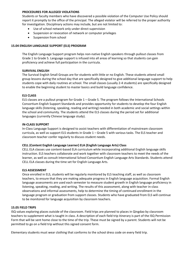### **PROCEDURES FOR ALLEGED VIOLATIONS**

Students or faculty members who have discovered a possible violation of the Computer Use Policy should report it promptly to the office of the principal. The alleged violator will be referred to the proper authority for investigation. Disciplinary actions may include, but are not limited to:

- Use of school network only under direct supervision
- Suspension or revocation of network or computer privileges
- Suspension from school

### **15.04 ENGLISH LANGUAGE SUPPORT (ELS) PROGRAM**

The English Language Support program helps non-native English speakers through pullout classes from Grade 1 to Grade 5. Language support is infused into all areas of learning so that students can gain proficiency and achieve full participation in the curricula.

### **SURVIVAL ENGLISH**

The Survival English Small Groups are for students with little or no English. These students attend small group lessons during the school day that are specifically designed to give additional language support to help students cope with daily routines at school. The small classes (usually 2-4 students) are specifically designed to enable the beginning student to master basics and build language confidence.

### **ELS CLASS**

ELS classes are a pullout program for Grade 1 – Grade 5. The program follows the International Schools Consortium English Support Standards and provides opportunity for students to develop the four English language skills (listening, speaking, reading and writing) needed in both academic and social settings within the school and community. The students attend the ELS classes during the period set for additional languages (currently Chinese language study).

### **IN-CLASS SUPPORT**

In-Class Language Support is designed to assist teachers with differentiation of mainstream classroom curricula, as well as support ELS students in Grade 1 – Grade 5 with various tasks. The ELS teacher and classroom teacher confer regularly to discuss student needs.

### **CELL (Content English Language Learner) ELA (English Language Arts) Class**

CELL ELA classes use content-based ELA curriculum while incorporating additional English language skills instruction. ELS teachers collaborate and work together with classroom teachers to meet the needs of the learner, as well as consult International School Consortium English Language Arts Standards. Students attend CELL ELA classes during the time set for English Language Arts.

### **ELS ASSESSMENT**

Once enrolled in ELS, students will be regularly monitored by ELS teaching staff, as well as classroom teachers, to ensure that they are making adequate progress in English language acquisition. Formal English language assessments are used each semester to measure student growth in English language proficiency in listening, speaking, reading, and writing. The results of this assessment, along with teacher in-class observations and informal assessments, help to determine the timing of continued enrollment in the language program or graduation from support classes. Students who have graduated from ELS will continue to be monitored for language acquisition by classroom teachers.

### **15.05 FIELD TRIPS**

ISQ values exploring places outside of the classroom. Field trips are planned to places in Qingdao by classroom teachers to supplement what is taught in class. A description of each field trip itinerary is part of the ISQ Permission Form that will be sent home close to the time of the trip. These must be signed by a parent. Students will not be permitted to go on a field trip without this signed consent form.

Elementary students must wear clothing that conforms to the school dress code on every field trip.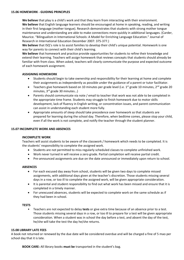**We believe** that play is a child's work and that they learn from interacting with their environment. **We believe** that English language learners should be encouraged at home in speaking, reading, and writing in their first language (mother tongue). Research demonstrates that students with strong mother tongue maintenance and understanding are able to make connections more quickly in additional languages. (Carder, Maurice. "Bilingualism in International Schools: A Model for Enriching Language Education." Journal of Research in International Education December 2007: 375-377.)

**We believe** that ISQ's role is to assist families to develop their child's unique potential. Homework is one way for parents to connect with their child's learning.

**We believe** that homework and practice provide opportunities for students to refine their knowledge and extend their learning. Teachers will assign homework that reviews concepts that students should already be familiar with from class. When asked, teachers will clearly communicate the purpose and expected outcome of each homework assignment.

### **ASSIGNING HOMEWORK**

- Students should begin to take ownership and responsibility for their learning at home and complete their assignments as independently as possible under the guidance of a parent or tutor facilitator.
- Teachers give homework based on 10 minutes per grade level (i.e.  $1^{st}$  grade 10 minutes,  $2^{nd}$  grade 20 minutes, 3<sup>rd</sup> grade 30 minutes...)
- Parents should communicate via note / email to teacher that work was not able to be completed in the appropriate time frame. Students may struggle to finish homework due to motor skills development, lack of fluency in English writing, or concentration issues, and parent communication can assist in understanding each student more fully.
- Appropriate amounts of sleep should take precedence over homework so that students are prepared for learning during the school day. Therefore, when bedtime comes, please stop your child, even if all the work is not complete, and notify the teacher through the student planner.

### **15.07 INCOMPLETE WORK AND ABSENCES**

### **INCOMPLETE WORK**

Teachers will assist students to be aware of the classwork / homework which needs to be completed. It is the students' responsibility to complete the assigned work.

- Students are not permitted to miss regularly scheduled classes to complete unfinished work.
- Work never turned in will receive a zero grade. Partial completion will receive partial credit.
- Pre-announced assignments are due on the date announced or immediately upon return to school.

### **ABSENCES**

- For each excused day away from school, students will be given two days to complete missed assignments, with additional days given at the teacher's discretion. Those students missing several days in a row, or too ill to complete the assigned work, will be given appropriate consideration.
- It is parental and student responsibility to find out what work has been missed and ensure that it is completed in a timely manner.
- For unexcused absences, students will be expected to complete work on the same schedule as if they had been in school.

### **TESTS**

• Teachers are not expected to delay **tests** or give extra time because of an absence prior to a test. Those students missing several days in a row, or too ill to prepare for a test will be given appropriate consideration. When a student was in school the day before a test, and absent the day of the test, he/she will take the test the day he/she returns.

### **15.08 LIBRARY LATE FEES**

A book not returned or renewed by the due date will be considered overdue and will be charged a fine of 5 mao per school day that it is late.

**BOOK CARE:** All library books **must be** transported in the student's bag.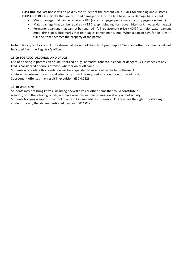**LOST BOOKS:** Lost books will be paid by the student at the present value + 40% for shipping and customs. **DAMAGED BOOKS:** Books that are returned damaged will incur a fine based on a Damage Assessment:

- Minor damage that can be repaired ¥10 (i.e. a torn page, pencil marks, a dirty page or edges...)
- Major damage that can be repaired ¥25 (i.e. split binding, torn cover, bite marks, water damage...)
- Permanent damage that cannot be repaired full replacement price + 40% (i.e. major water damage, mold, drink spills, bite marks that tear pages, crayon marks, etc.) When a patron pays for an item in full, the item becomes the property of the patron.

Note: If library books are still not returned at the end of the school year, Report Cards and other documents will not be issued from the Registrar's office.

### **15.09 TOBACCO, ALCOHOL, AND DRUGS**

Use of or being in possession of unauthorized drugs, narcotics, tobacco, alcohol, or dangerous substances of any kind is considered a serious offense, whether on or off campus.

Students who violate this regulation will be suspended from school on the first offense. A conference between parents and administrator will be required as a condition for re-admission. Subsequent offenses may result in expulsion. (ISC 4.022)

### **15.10 WEAPONS**

Students may not bring knives, including pocketknives or other items that could constitute a weapon, onto the school grounds, nor have weapons in their possession at any school activity. Students bringing weapons to school may result in immediate suspension. ISQ reserves the right to forbid any student to carry the above-mentioned devices. (ISC 4.022)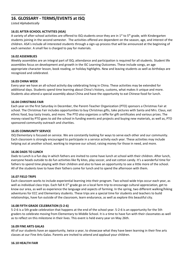# **\_\_\_\_\_\_\_\_\_\_\_\_\_\_\_\_\_\_\_\_\_\_\_\_\_\_\_\_\_\_\_\_ 16. GLOSSARY - TERMS/EVENTS at ISQ**

*Listed Alphabetically*

### **16.01 AFTER-SCHOOL ACTIVITIES (ASA)**

A variety of after-school activities are offered to ISQ students once they are in 1<sup>st</sup> to 5<sup>th</sup> grade, with Kindergarten students joining in the second semester. The activities offered are dependent on the season, age, and interest of the children. ASA's include all interested students through a sign-up process that will be announced at the beginning of each semester. A small fee is charged to pay for materials.

### **16.02 ASSEMBLIES**

Weekly assemblies are an integral part of ISQ; attendance and participation is required for all students. Student life assemblies focus on development and growth in the ISC Learning Outcomes. These include songs, an age appropriate character lesson, book reading, or holiday highlights. New and leaving students as well as birthdays are recognized and celebrated.

### **16.03 CHINA WEEK**

Every year we have an all-school activity day celebrating living in China. These activities may be extended for additional days. Students spend time learning about China's history, customs, what makes it unique and more. Students also attend a special assembly about China and have the opportunity to eat Chinese food for lunch.

### **16.04 CHRISTMAS FAIR**

Each year on the first Saturday in December, the Parent-Teacher Organization (PTO) sponsors a Christmas Fair at school. The Christmas Fair includes opportunities to buy Christmas gifts, take pictures with Santa and Mrs. Claus, eat ethnic food, buy tasty treats, and more. The PTO also organizes a raffle for gift certificates and various prizes. The money raised by PTO goes to aid the school in funding events and projects and buying new materials, as well as, PTO sponsored community outreach and charities.

### **16.05 COMMUNITY SERVICE**

ISQ Elementary is focused on service. We are constantly looking for ways to serve each other and our community. Each classroom is strongly encouraged to participate in a service activity each year. These activities may include helping out at another school, working to improve our school, raising money for those in need, and more.

### **16.06 DADS TO LUNCH**

Dads to Lunch is a fun day in which fathers are invited to come have lunch at school with their children. After lunch, everyone heads outside to do fun activities like fly kites, play soccer, and eat cotton candy. It's a wonderful time for fathers to spend time playing with their children and also to have an opportunity to see a little more of the school. All of the students love to have their fathers come for lunch and to spend the afternoon with them.

### **16.07 FIELD TRIPS**

Each classroom works to include experiential learning into their program. Two school-wide trips occur each year, as well as individual class trips. Each fall K-5<sup>th</sup> grade go on a local farm trip to encourage cultural appreciation, get to know our area, as well as experience the language and aspects of farming. In the spring, two different walking/hiking adventures for ECC and Elementary students. These trips are a special time for students and teachers to build relationships, have fun outside of the classroom, learn endurance, as well as explore this beautiful city.

### **16.08 FIFTH GRADE CELEBRATION (5-2-6)**

5-2-6 is a 5th grade celebration that happens at the end of the school year. 5-2-6 is an opportunity for the 5th graders to celebrate moving from Elementary to Middle School. It is a time to have fun with their classmates as well as to reflect on this milestone in their lives. This event is held every year on May 26th.

### **16.09 FINE ARTS GALAS**

All of our students have an opportunity, twice a year, to showcase what they have been learning in their fine arts classes at our Fine Arts Galas. Parents are invited to attend and applaud your children.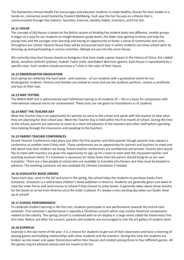The Elementary Annual Health Fair encourages and educates students to make healthy choices for their bodies in a hands-on, interactive event hosted by Student Wellbeing. Each year the fair focuses on a theme that is communicated through five stations: Nutrition, Exercise, Healthy Habits, Emotions, and First Aid.

### **16.11 HOUSE**

The concept of ISQ House is based on the British system of dividing the student body into different, smaller groups. It began as a way for our students to mingle between grade levels, the older ones getting to know and help the young ones and the younger ones learning and having an opportunity to foster a sense of community and unity throughout our school. Several House Days will be announced each year in which students can show school spirit by dressing up and participating in various activities. Siblings are put into the same House.

We currently have four houses based on foreigners that have made a great impact in the history of China: Eric Liddell (blue), Jonathan Goforth (yellow), Hudson Taylor (red), and Robert Morrison (green). Each house is represented by a specific color. Each student should purchase a T-shirt in the color of their House.

### **16.12 KINDERGARTEN GRADUATION**

Each spring we celebrate the hard work - and cuteness - of our students with a graduation event for our Kindergarten students. Parents and families are invited to come and see the students perform, receive a certificate, and toss of their hats.

### **16.13 MAP TESTING**

The NWEA MAP test is administered each fall/winter/spring to all students  $(K - 10)$  as a basis for comparison with international national norms for achievement. These tests are not given to Foundations or JK students.

### **16.14 MEET THE TEACHER DAY**

Meet the Teacher Day is an opportunity for parents to come to the school and speak with the teacher to hear what they are planning for that school year. Meet the Teacher Day is held within the first month of school. During the time at the school, parents are welcome to come to a short introduction of the teachers and other staff before spending time looking through the classrooms and speaking to the teachers.

### **16.15 PARENT-TEACHER CONFERENCES**

Parent-Teacher Conferences take place just after the first quarter and third quarter though parents may request a conference at another time if they wish. These conferences are an opportunity for parents and teachers to meet and talk about how their children are doing. Parent-teacher conferences are confidential and private. Parents who would like to meet with teachers are given the opportunity to sign up for a time to meet with the classroom teacher and teaching assistant alone. If a translator is necessary for these times then the parent should bring his or her own translator. There are a few people at school who are available to translate into Korean, but they must be booked in advance. The teaching assistants are also available for Chinese translation if needed.

### **16.16 SCHOLASTIC BOOK ORDERS**

Twice each year, once in the fall and once in the spring, the school helps the students to purchase books from Scholastic. Scholastic is a well-known children's book publisher in America. Students are generally given one week to view the order forms and send money to school if they choose to order books. It generally takes about three months for the books to arrive from America once the order is placed. It's always a very exciting day when our books show up at school!

### **16.17 SCHOOL PERFORMANCES**

To celebrate student learning in the fine arts, students participate in one performance towards the end of each semester. First semester's performance is typically a Christmas concert which may involve theatrical components related to the nativity. The spring concert is combined with an art display in a large event called the Elementary Fine Arts Gala. Before and after the concert, parents and students are encouraged to visit the art gallery of student work.

### **16.18 SCIPMYLO**

Scipmylo is the last event of the year. It is a chance for students to get out of their classrooms and have a morning of playing games and building relationships with other students and the teachers. During this time the students are broken up into lower and upper Elementary within their houses and rotated among three to four different games. All the games require physical activity and are meant to be fun.